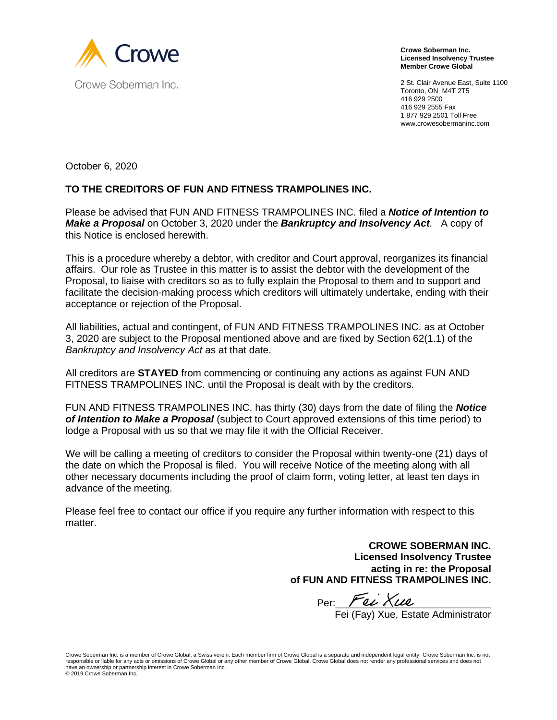

**Crowe Soberman Inc. Licensed Insolvency Trustee Member Crowe Global**

2 St. Clair Avenue East, Suite 1100 Toronto, ON M4T 2T5 416 929 2500 416 929 2555 Fax 1 877 929 2501 Toll Free www.crowesobermaninc.com

October 6, 2020

## **TO THE CREDITORS OF FUN AND FITNESS TRAMPOLINES INC.**

Please be advised that FUN AND FITNESS TRAMPOLINES INC. filed a *Notice of Intention to Make a Proposal* on October 3, 2020 under the *Bankruptcy and Insolvency Act.* A copy of this Notice is enclosed herewith.

This is a procedure whereby a debtor, with creditor and Court approval, reorganizes its financial affairs. Our role as Trustee in this matter is to assist the debtor with the development of the Proposal, to liaise with creditors so as to fully explain the Proposal to them and to support and facilitate the decision-making process which creditors will ultimately undertake, ending with their acceptance or rejection of the Proposal.

All liabilities, actual and contingent, of FUN AND FITNESS TRAMPOLINES INC. as at October 3, 2020 are subject to the Proposal mentioned above and are fixed by Section 62(1.1) of the *Bankruptcy and Insolvency Act* as at that date.

All creditors are **STAYED** from commencing or continuing any actions as against FUN AND FITNESS TRAMPOLINES INC. until the Proposal is dealt with by the creditors.

FUN AND FITNESS TRAMPOLINES INC. has thirty (30) days from the date of filing the *Notice of Intention to Make a Proposal* (subject to Court approved extensions of this time period) to lodge a Proposal with us so that we may file it with the Official Receiver.

We will be calling a meeting of creditors to consider the Proposal within twenty-one (21) days of the date on which the Proposal is filed. You will receive Notice of the meeting along with all other necessary documents including the proof of claim form, voting letter, at least ten days in advance of the meeting.

Please feel free to contact our office if you require any further information with respect to this matter.

> **CROWE SOBERMAN INC. Licensed Insolvency Trustee acting in re: the Proposal of FUN AND FITNESS TRAMPOLINES INC.**

 $Per:$  Fei Xue

Fei (Fay) Xue, Estate Administrator

Crowe Soberman Inc. is a member of Crowe Global, a Swiss verein. Each member firm of Crowe Global is a separate and independent legal entity. Crowe Soberman Inc. is not responsible or liable for any acts or omissions of Crowe Global or any other member of Crowe Global. Crowe Global does not render any professional services and does not have an ownership or partnership interest in Crowe Soberman Inc. © 2019 Crowe Soberman Inc.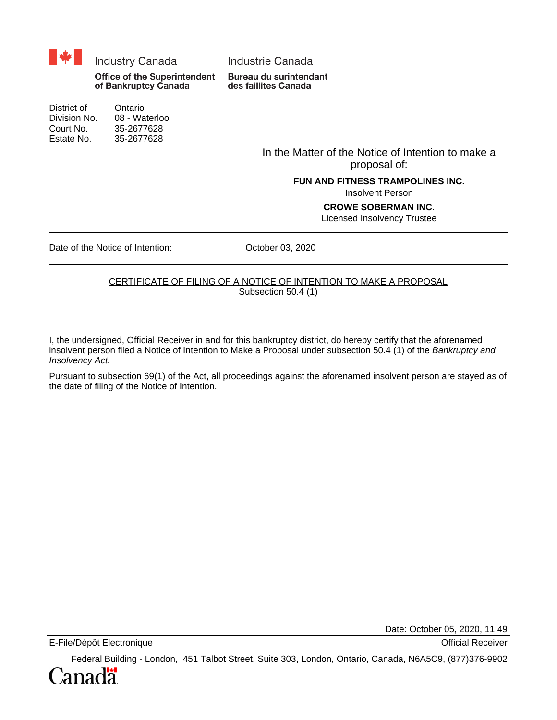

Division No. 08 - Waterloo Court No. 35-2677628 Estate No. 35-2677628

> In the Matter of the Notice of Intention to make a proposal of:

#### **FUN AND FITNESS TRAMPOLINES INC.**

Insolvent Person

#### **CROWE SOBERMAN INC.**

Licensed Insolvency Trustee

Date of the Notice of Intention: 0ctober 03, 2020

#### CERTIFICATE OF FILING OF A NOTICE OF INTENTION TO MAKE A PROPOSAL Subsection 50.4 (1)

I, the undersigned, Official Receiver in and for this bankruptcy district, do hereby certify that the aforenamed insolvent person filed a Notice of Intention to Make a Proposal under subsection 50.4 (1) of the Bankruptcy and Insolvency Act.

Pursuant to subsection 69(1) of the Act, all proceedings against the aforenamed insolvent person are stayed as of the date of filing of the Notice of Intention.

Date: October 05, 2020, 11:49

E-File/Dépôt Electronique **Contract en la contract en la contract en la contract en la contract en la contract en la contract en la contract en la contract en la contract en la contract en la contract en la contract en la** 

Federal Building - London, 451 Talbot Street, Suite 303, London, Ontario, Canada, N6A5C9, (877)376-9902

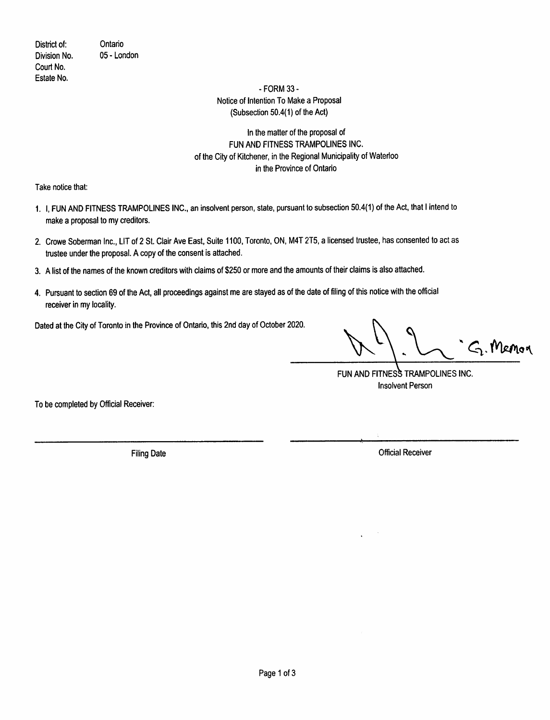District of: Division No. Court No. Estate No.

Ontario 05 - London

#### - FORM 33 -Notice of Intention To Make a Proposal (Subsection 50.4(1) of the Act)

## In the matter of the proposal of FUN AND FITNESS TRAMPOLINES INC. of the City of Kitchener, in the Regional Municipality of Waterloo in the Province of Ontario

Take notice that:

- 1. I. FUN AND FITNESS TRAMPOLINES INC., an insolvent person, state, pursuant to subsection 50.4(1) of the Act, that I intend to make a proposal to my creditors.
- 2. Crowe Soberman Inc., LIT of 2 St. Clair Ave East, Suite 1100, Toronto, ON, M4T 2T5, a licensed trustee, has consented to act as trustee under the proposal. A copy of the consent is attached.
- 3. A list of the names of the known creditors with claims of \$250 or more and the amounts of their claims is also attached.
- 4. Pursuant to section 69 of the Act, all proceedings against me are stayed as of the date of filing of this notice with the official receiver in my locality.

Dated at the City of Toronto in the Province of Ontario, this 2nd day of October 2020.

G. Memor

FUN AND FITNESS TRAMPOLINES INC. **Insolvent Person** 

To be completed by Official Receiver:

**Filing Date** 

**Official Receiver**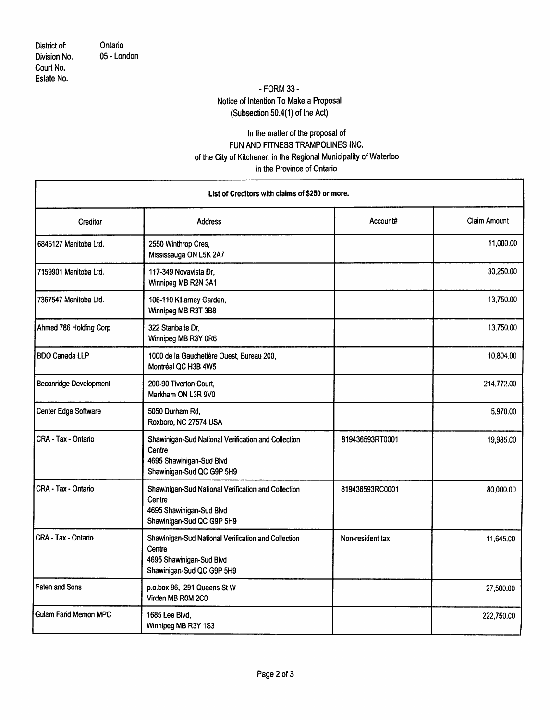District of: Division No. Court No. Estate No.

Ontario 05 - London

# - FORM 33 -Notice of Intention To Make a Proposal (Subsection 50.4(1) of the Act)

## In the matter of the proposal of FUN AND FITNESS TRAMPOLINES INC. of the City of Kitchener, in the Regional Municipality of Waterloo in the Province of Ontario

| List of Creditors with claims of \$250 or more. |                                                                                                                        |                  |              |  |
|-------------------------------------------------|------------------------------------------------------------------------------------------------------------------------|------------------|--------------|--|
| Creditor                                        | <b>Address</b>                                                                                                         | Account#         | Claim Amount |  |
| 6845127 Manitoba Ltd.                           | 2550 Winthrop Cres,<br>Mississauga ON L5K 2A7                                                                          |                  | 11,000.00    |  |
| 7159901 Manitoba Ltd.                           | 117-349 Novavista Dr.<br>Winnipeg MB R2N 3A1                                                                           |                  | 30,250.00    |  |
| 7367547 Manitoba Ltd.                           | 106-110 Killarney Garden,<br>Winnipeg MB R3T 3B8                                                                       |                  | 13,750.00    |  |
| Ahmed 786 Holding Corp                          | 322 Stanbalie Dr.<br>Winnipeg MB R3Y 0R6                                                                               |                  | 13,750.00    |  |
| <b>BDO Canada LLP</b>                           | 1000 de la Gauchetière Ouest, Bureau 200,<br>Montréal QC H3B 4W5                                                       |                  | 10,804.00    |  |
| <b>Beconridge Development</b>                   | 200-90 Tiverton Court,<br>Markham ON L3R 9V0                                                                           |                  | 214,772.00   |  |
| Center Edge Software                            | 5050 Durham Rd.<br>Roxboro, NC 27574 USA                                                                               |                  | 5,970.00     |  |
| CRA - Tax - Ontario                             | Shawinigan-Sud National Verification and Collection<br>Centre<br>4695 Shawinigan-Sud Blvd<br>Shawinigan-Sud QC G9P 5H9 | 819436593RT0001  | 19,985.00    |  |
| CRA - Tax - Ontario                             | Shawinigan-Sud National Verification and Collection<br>Centre<br>4695 Shawinigan-Sud Blvd<br>Shawinigan-Sud QC G9P 5H9 | 819436593RC0001  | 80,000.00    |  |
| CRA - Tax - Ontario                             | Shawinigan-Sud National Verification and Collection<br>Centre<br>4695 Shawinigan-Sud Blvd<br>Shawinigan-Sud QC G9P 5H9 | Non-resident tax | 11,645.00    |  |
| Fateh and Sons                                  | p.o.box 96, 291 Queens St W<br>Virden MB R0M 2C0                                                                       |                  | 27,500.00    |  |
| Gulam Farid Memon MPC                           | 1685 Lee Blvd.<br>Winnipeg MB R3Y 1S3                                                                                  |                  | 222,750.00   |  |